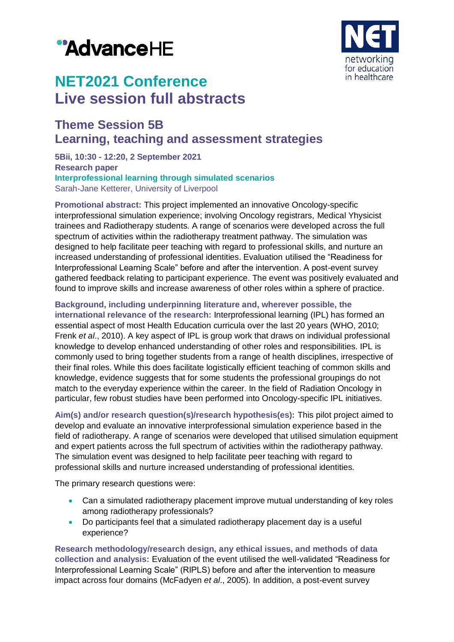# "AdvanceHE



## **NET2021 Conference Live session full abstracts**

### **Theme Session 5B Learning, teaching and assessment strategies**

**5Bii, 10:30 - 12:20, 2 September 2021 Research paper Interprofessional learning through simulated scenarios** Sarah-Jane Ketterer, University of Liverpool

**Promotional abstract:** This project implemented an innovative Oncology-specific interprofessional simulation experience; involving Oncology registrars, Medical Yhysicist trainees and Radiotherapy students. A range of scenarios were developed across the full spectrum of activities within the radiotherapy treatment pathway. The simulation was designed to help facilitate peer teaching with regard to professional skills, and nurture an increased understanding of professional identities. Evaluation utilised the "Readiness for Interprofessional Learning Scale" before and after the intervention. A post-event survey gathered feedback relating to participant experience. The event was positively evaluated and found to improve skills and increase awareness of other roles within a sphere of practice.

**Background, including underpinning literature and, wherever possible, the international relevance of the research:** Interprofessional learning (IPL) has formed an essential aspect of most Health Education curricula over the last 20 years (WHO, 2010; Frenk *et al*., 2010). A key aspect of IPL is group work that draws on individual professional knowledge to develop enhanced understanding of other roles and responsibilities. IPL is commonly used to bring together students from a range of health disciplines, irrespective of their final roles. While this does facilitate logistically efficient teaching of common skills and knowledge, evidence suggests that for some students the professional groupings do not match to the everyday experience within the career. In the field of Radiation Oncology in particular, few robust studies have been performed into Oncology-specific IPL initiatives.

**Aim(s) and/or research question(s)/research hypothesis(es):** This pilot project aimed to develop and evaluate an innovative interprofessional simulation experience based in the field of radiotherapy. A range of scenarios were developed that utilised simulation equipment and expert patients across the full spectrum of activities within the radiotherapy pathway. The simulation event was designed to help facilitate peer teaching with regard to professional skills and nurture increased understanding of professional identities.

The primary research questions were:

- Can a simulated radiotherapy placement improve mutual understanding of key roles among radiotherapy professionals?
- Do participants feel that a simulated radiotherapy placement day is a useful experience?

**Research methodology/research design, any ethical issues, and methods of data collection and analysis:** Evaluation of the event utilised the well-validated "Readiness for Interprofessional Learning Scale" (RIPLS) before and after the intervention to measure impact across four domains (McFadyen *et al*., 2005). In addition, a post-event survey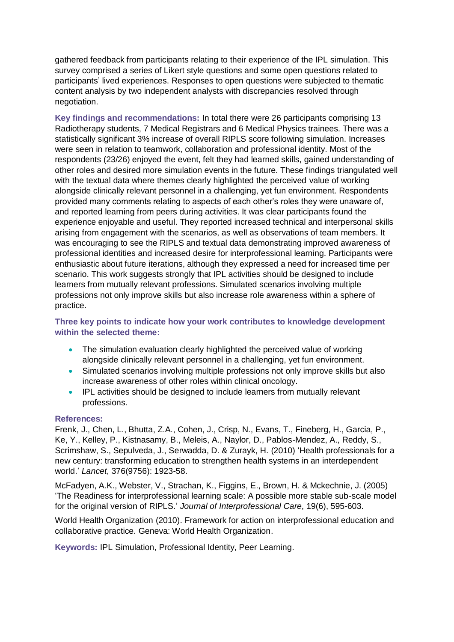gathered feedback from participants relating to their experience of the IPL simulation. This survey comprised a series of Likert style questions and some open questions related to participants' lived experiences. Responses to open questions were subjected to thematic content analysis by two independent analysts with discrepancies resolved through negotiation.

**Key findings and recommendations:** In total there were 26 participants comprising 13 Radiotherapy students, 7 Medical Registrars and 6 Medical Physics trainees. There was a statistically significant 3% increase of overall RIPLS score following simulation. Increases were seen in relation to teamwork, collaboration and professional identity. Most of the respondents (23/26) enjoyed the event, felt they had learned skills, gained understanding of other roles and desired more simulation events in the future. These findings triangulated well with the textual data where themes clearly highlighted the perceived value of working alongside clinically relevant personnel in a challenging, yet fun environment. Respondents provided many comments relating to aspects of each other's roles they were unaware of, and reported learning from peers during activities. It was clear participants found the experience enjoyable and useful. They reported increased technical and interpersonal skills arising from engagement with the scenarios, as well as observations of team members. It was encouraging to see the RIPLS and textual data demonstrating improved awareness of professional identities and increased desire for interprofessional learning. Participants were enthusiastic about future iterations, although they expressed a need for increased time per scenario. This work suggests strongly that IPL activities should be designed to include learners from mutually relevant professions. Simulated scenarios involving multiple professions not only improve skills but also increase role awareness within a sphere of practice.

#### **Three key points to indicate how your work contributes to knowledge development within the selected theme:**

- The simulation evaluation clearly highlighted the perceived value of working alongside clinically relevant personnel in a challenging, yet fun environment.
- Simulated scenarios involving multiple professions not only improve skills but also increase awareness of other roles within clinical oncology.
- **IPL activities should be designed to include learners from mutually relevant** professions.

#### **References:**

Frenk, J., Chen, L., Bhutta, Z.A., Cohen, J., Crisp, N., Evans, T., Fineberg, H., Garcia, P., Ke, Y., Kelley, P., Kistnasamy, B., Meleis, A., Naylor, D., Pablos-Mendez, A., Reddy, S., Scrimshaw, S., Sepulveda, J., Serwadda, D. & Zurayk, H. (2010) 'Health professionals for a new century: transforming education to strengthen health systems in an interdependent world.' *Lancet*, 376(9756): 1923-58.

McFadyen, A.K., Webster, V., Strachan, K., Figgins, E., Brown, H. & Mckechnie, J. (2005) 'The Readiness for interprofessional learning scale: A possible more stable sub-scale model for the original version of RIPLS.' *Journal of Interprofessional Care*, 19(6), 595-603.

World Health Organization (2010). Framework for action on interprofessional education and collaborative practice. Geneva: World Health Organization.

**Keywords:** IPL Simulation, Professional Identity, Peer Learning.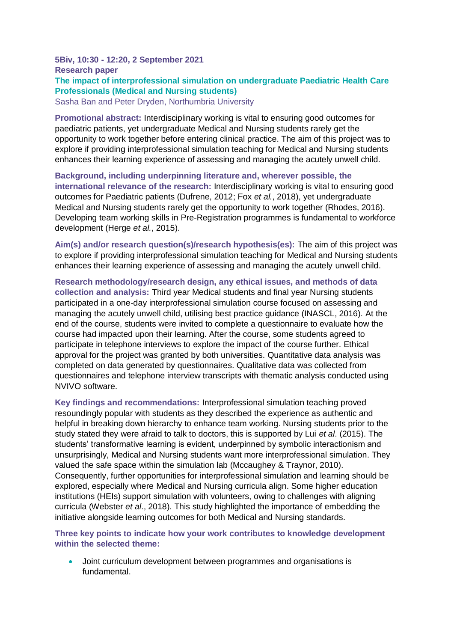#### **5Biv, 10:30 - 12:20, 2 September 2021 Research paper The impact of interprofessional simulation on undergraduate Paediatric Health Care Professionals (Medical and Nursing students)** Sasha Ban and Peter Dryden, Northumbria University

**Promotional abstract:** Interdisciplinary working is vital to ensuring good outcomes for paediatric patients, yet undergraduate Medical and Nursing students rarely get the opportunity to work together before entering clinical practice. The aim of this project was to explore if providing interprofessional simulation teaching for Medical and Nursing students enhances their learning experience of assessing and managing the acutely unwell child.

**Background, including underpinning literature and, wherever possible, the international relevance of the research:** Interdisciplinary working is vital to ensuring good outcomes for Paediatric patients (Dufrene, 2012; Fox *et al.*, 2018), yet undergraduate Medical and Nursing students rarely get the opportunity to work together (Rhodes, 2016). Developing team working skills in Pre-Registration programmes is fundamental to workforce development (Herge *et al.*, 2015).

**Aim(s) and/or research question(s)/research hypothesis(es):** The aim of this project was to explore if providing interprofessional simulation teaching for Medical and Nursing students enhances their learning experience of assessing and managing the acutely unwell child.

**Research methodology/research design, any ethical issues, and methods of data collection and analysis:** Third year Medical students and final year Nursing students participated in a one-day interprofessional simulation course focused on assessing and managing the acutely unwell child, utilising best practice guidance (INASCL, 2016). At the end of the course, students were invited to complete a questionnaire to evaluate how the course had impacted upon their learning. After the course, some students agreed to participate in telephone interviews to explore the impact of the course further. Ethical approval for the project was granted by both universities. Quantitative data analysis was completed on data generated by questionnaires. Qualitative data was collected from questionnaires and telephone interview transcripts with thematic analysis conducted using NVIVO software.

**Key findings and recommendations:** Interprofessional simulation teaching proved resoundingly popular with students as they described the experience as authentic and helpful in breaking down hierarchy to enhance team working. Nursing students prior to the study stated they were afraid to talk to doctors, this is supported by Lui *et al*. (2015). The students' transformative learning is evident, underpinned by symbolic interactionism and unsurprisingly, Medical and Nursing students want more interprofessional simulation. They valued the safe space within the simulation lab (Mccaughey & Traynor, 2010). Consequently, further opportunities for interprofessional simulation and learning should be explored, especially where Medical and Nursing curricula align. Some higher education institutions (HEIs) support simulation with volunteers, owing to challenges with aligning curricula (Webster *et al*., 2018). This study highlighted the importance of embedding the initiative alongside learning outcomes for both Medical and Nursing standards.

**Three key points to indicate how your work contributes to knowledge development within the selected theme:**

• Joint curriculum development between programmes and organisations is fundamental.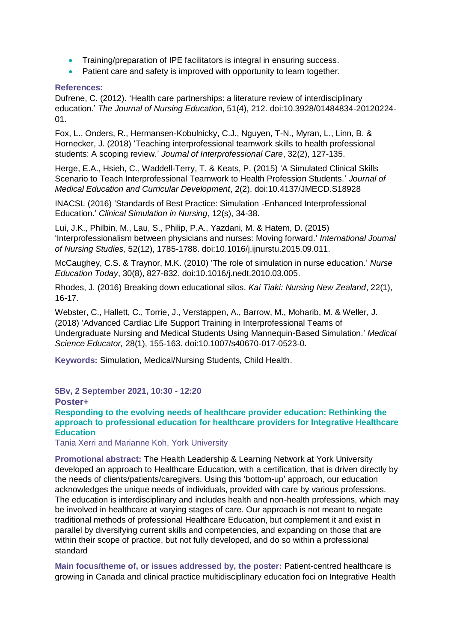- Training/preparation of IPE facilitators is integral in ensuring success.
- Patient care and safety is improved with opportunity to learn together.

#### **References:**

Dufrene, C. (2012). 'Health care partnerships: a literature review of interdisciplinary education.' *The Journal of Nursing Education*, 51(4), 212. doi:10.3928/01484834-20120224- 01.

Fox, L., Onders, R., Hermansen-Kobulnicky, C.J., Nguyen, T-N., Myran, L., Linn, B. & Hornecker, J. (2018) 'Teaching interprofessional teamwork skills to health professional students: A scoping review.' *Journal of Interprofessional Care*, 32(2), 127-135.

Herge, E.A., Hsieh, C., Waddell-Terry, T. & Keats, P. (2015) 'A Simulated Clinical Skills Scenario to Teach Interprofessional Teamwork to Health Profession Students.' *Journal of Medical Education and Curricular Development*, 2(2). doi:10.4137/JMECD.S18928

INACSL (2016) 'Standards of Best Practice: Simulation -Enhanced Interprofessional Education.' *Clinical Simulation in Nursing*, 12(s), 34-38.

Lui, J.K., Philbin, M., Lau, S., Philip, P.A., Yazdani, M. & Hatem, D. (2015) 'Interprofessionalism between physicians and nurses: Moving forward.' *International Journal of Nursing Studies*, 52(12), 1785-1788. doi:10.1016/j.ijnurstu.2015.09.011.

McCaughey, C.S. & Traynor, M.K. (2010) 'The role of simulation in nurse education.' *Nurse Education Today*, 30(8), 827-832. doi:10.1016/j.nedt.2010.03.005.

Rhodes, J. (2016) Breaking down educational silos. *Kai Tiaki: Nursing New Zealand*, 22(1), 16-17.

Webster, C., Hallett, C., Torrie, J., Verstappen, A., Barrow, M., Moharib, M. & Weller, J. (2018) 'Advanced Cardiac Life Support Training in Interprofessional Teams of Undergraduate Nursing and Medical Students Using Mannequin-Based Simulation.' *Medical Science Educator,* 28(1), 155-163. doi:10.1007/s40670-017-0523-0.

**Keywords:** Simulation, Medical/Nursing Students, Child Health.

**5Bv, 2 September 2021, 10:30 - 12:20 Poster+**

**Responding to the evolving needs of healthcare provider education: Rethinking the approach to professional education for healthcare providers for Integrative Healthcare Education**

Tania Xerri and Marianne Koh, York University

**Promotional abstract:** The Health Leadership & Learning Network at York University developed an approach to Healthcare Education, with a certification, that is driven directly by the needs of clients/patients/caregivers. Using this 'bottom-up' approach, our education acknowledges the unique needs of individuals, provided with care by various professions. The education is interdisciplinary and includes health and non-health professions, which may be involved in healthcare at varying stages of care. Our approach is not meant to negate traditional methods of professional Healthcare Education, but complement it and exist in parallel by diversifying current skills and competencies, and expanding on those that are within their scope of practice, but not fully developed, and do so within a professional standard

**Main focus/theme of, or issues addressed by, the poster:** Patient-centred healthcare is growing in Canada and clinical practice multidisciplinary education foci on Integrative Health